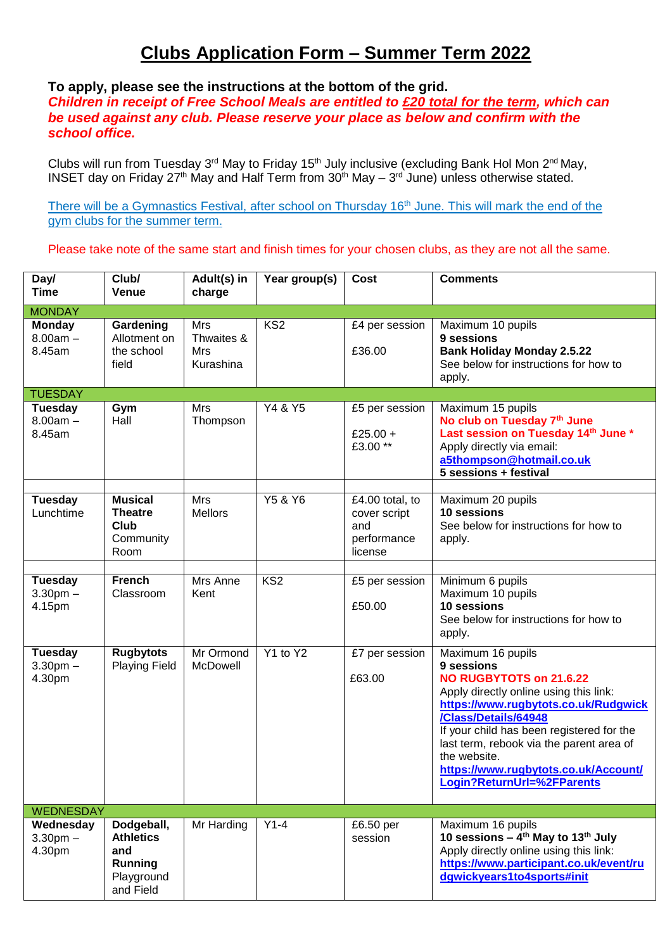# **Clubs Application Form – Summer Term 2022**

### **To apply, please see the instructions at the bottom of the grid.**

*Children in receipt of Free School Meals are entitled to £20 total for the term, which can be used against any club. Please reserve your place as below and confirm with the school office.*

Clubs will run from Tuesday 3<sup>rd</sup> May to Friday 15<sup>th</sup> July inclusive (excluding Bank Hol Mon 2<sup>nd</sup> May, INSET day on Friday 27<sup>th</sup> May and Half Term from  $30<sup>th</sup>$  May –  $3<sup>rd</sup>$  June) unless otherwise stated.

There will be a Gymnastics Festival, after school on Thursday 16<sup>th</sup> June. This will mark the end of the gym clubs for the summer term.

Please take note of the same start and finish times for your chosen clubs, as they are not all the same.

| Day/<br><b>Time</b>                    | Club/<br>Venue                                                              | Adult(s) in<br>charge                 | Year group(s)   | Cost                                                             | <b>Comments</b>                                                                                                                                                                                                                                                                                                                                            |
|----------------------------------------|-----------------------------------------------------------------------------|---------------------------------------|-----------------|------------------------------------------------------------------|------------------------------------------------------------------------------------------------------------------------------------------------------------------------------------------------------------------------------------------------------------------------------------------------------------------------------------------------------------|
| <b>MONDAY</b>                          |                                                                             |                                       |                 |                                                                  |                                                                                                                                                                                                                                                                                                                                                            |
| <b>Monday</b><br>$8.00am -$<br>8.45am  | Gardening<br>Allotment on<br>the school<br>field                            | Mrs<br>Thwaites &<br>Mrs<br>Kurashina | KS <sub>2</sub> | £4 per session<br>£36.00                                         | Maximum 10 pupils<br>9 sessions<br><b>Bank Holiday Monday 2.5.22</b><br>See below for instructions for how to<br>apply.                                                                                                                                                                                                                                    |
| <b>TUESDAY</b>                         |                                                                             |                                       |                 |                                                                  |                                                                                                                                                                                                                                                                                                                                                            |
| Tuesday<br>$8.00am -$<br>8.45am        | Gym<br>Hall                                                                 | Mrs<br>Thompson                       | Y4 & Y5         | £5 per session<br>£25.00 +<br>£3.00**                            | Maximum 15 pupils<br>No club on Tuesday 7th June<br>Last session on Tuesday 14th June *<br>Apply directly via email:<br>a5thompson@hotmail.co.uk<br>5 sessions + festival                                                                                                                                                                                  |
| <b>Tuesday</b><br>Lunchtime            | <b>Musical</b><br><b>Theatre</b><br>Club<br>Community<br>Room               | Mrs<br><b>Mellors</b>                 | Y5 & Y6         | £4.00 total, to<br>cover script<br>and<br>performance<br>license | Maximum 20 pupils<br>10 sessions<br>See below for instructions for how to<br>apply.                                                                                                                                                                                                                                                                        |
|                                        |                                                                             |                                       |                 |                                                                  |                                                                                                                                                                                                                                                                                                                                                            |
| <b>Tuesday</b><br>$3.30pm -$<br>4.15pm | <b>French</b><br>Classroom                                                  | Mrs Anne<br>Kent                      | KS <sub>2</sub> | £5 per session<br>£50.00                                         | Minimum 6 pupils<br>Maximum 10 pupils<br>10 sessions<br>See below for instructions for how to<br>apply.                                                                                                                                                                                                                                                    |
| <b>Tuesday</b><br>$3.30pm$ -<br>4.30pm | <b>Rugbytots</b><br><b>Playing Field</b>                                    | Mr Ormond<br>McDowell                 | Y1 to Y2        | £7 per session<br>£63.00                                         | Maximum 16 pupils<br>9 sessions<br><b>NO RUGBYTOTS on 21.6.22</b><br>Apply directly online using this link:<br>https://www.rugbytots.co.uk/Rudgwick<br>/Class/Details/64948<br>If your child has been registered for the<br>last term, rebook via the parent area of<br>the website.<br>https://www.rugbytots.co.uk/Account/<br>Login?ReturnUrl=%2FParents |
| <b>WEDNESDAY</b>                       |                                                                             |                                       |                 |                                                                  |                                                                                                                                                                                                                                                                                                                                                            |
| Wednesday<br>$3.30pm -$<br>4.30pm      | Dodgeball,<br><b>Athletics</b><br>and<br>Running<br>Playground<br>and Field | Mr Harding                            | $Y1-4$          | £6.50 per<br>session                                             | Maximum 16 pupils<br>10 sessions $-$ 4 <sup>th</sup> May to 13 <sup>th</sup> July<br>Apply directly online using this link:<br>https://www.participant.co.uk/event/ru<br>dgwickyears1to4sports#init                                                                                                                                                        |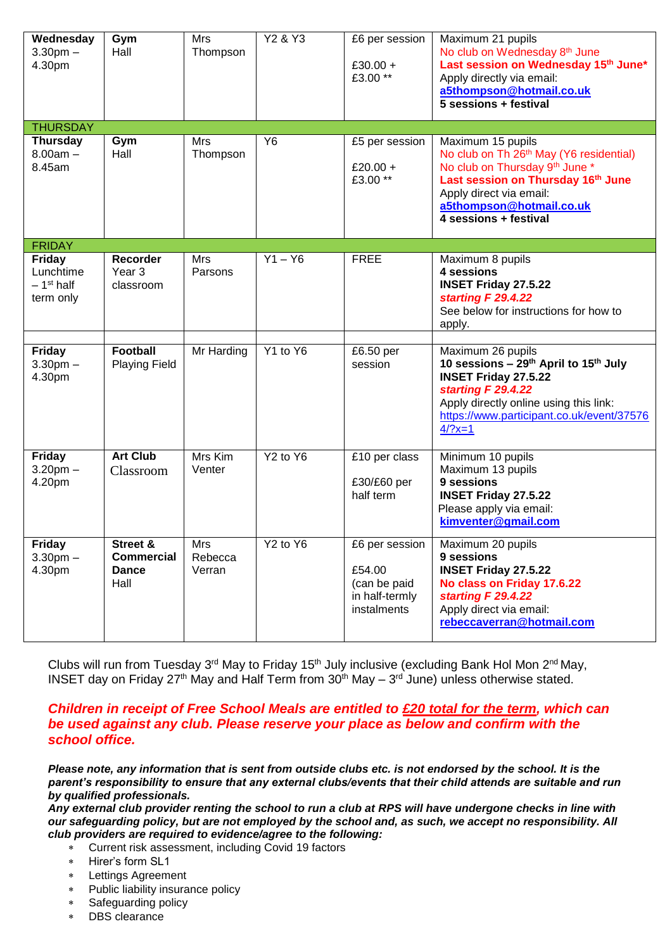| Wednesday<br>3.30 <sub>pm</sub><br>4.30pm              | Gym<br>Hall                                           | Mrs<br>Thompson          | Y2 & Y3                          | £6 per session<br>£30.00 +<br>£3.00**                                     | Maximum 21 pupils<br>No club on Wednesday 8 <sup>th</sup> June<br>Last session on Wednesday 15th June*<br>Apply directly via email:<br>a5thompson@hotmail.co.uk<br>5 sessions + festival                                         |
|--------------------------------------------------------|-------------------------------------------------------|--------------------------|----------------------------------|---------------------------------------------------------------------------|----------------------------------------------------------------------------------------------------------------------------------------------------------------------------------------------------------------------------------|
| <b>THURSDAY</b>                                        |                                                       |                          |                                  |                                                                           |                                                                                                                                                                                                                                  |
| <b>Thursday</b><br>$8.00am -$<br>8.45am                | Gym<br>Hall                                           | Mrs<br>Thompson          | Y <sub>6</sub>                   | £5 per session<br>£20.00 +<br>£3.00**                                     | Maximum 15 pupils<br>No club on Th 26 <sup>th</sup> May (Y6 residential)<br>No club on Thursday 9th June *<br>Last session on Thursday 16th June<br>Apply direct via email:<br>a5thompson@hotmail.co.uk<br>4 sessions + festival |
| <b>FRIDAY</b>                                          |                                                       |                          |                                  |                                                                           |                                                                                                                                                                                                                                  |
| <b>Friday</b><br>Lunchtime<br>$-1st$ half<br>term only | Recorder<br>Year <sub>3</sub><br>classroom            | Mrs<br>Parsons           | $Y1 - Y6$                        | <b>FREE</b>                                                               | Maximum 8 pupils<br>4 sessions<br><b>INSET Friday 27.5.22</b><br>starting F 29.4.22<br>See below for instructions for how to<br>apply.                                                                                           |
| <b>Friday</b><br>$3.30pm$ -<br>4.30pm                  | <b>Football</b><br><b>Playing Field</b>               | Mr Harding               | Y1 to Y6                         | £6.50 per<br>session                                                      | Maximum 26 pupils<br>10 sessions - 29th April to 15th July<br><b>INSET Friday 27.5.22</b><br>starting F 29.4.22<br>Apply directly online using this link:<br>https://www.participant.co.uk/event/37576<br>$4/?x=1$               |
| <b>Friday</b><br>$3.20$ pm $-$<br>4.20pm               | <b>Art Club</b><br>Classroom                          | Mrs Kim<br>Venter        | Y <sub>2</sub> to Y <sub>6</sub> | £10 per class<br>£30/£60 per<br>half term                                 | Minimum 10 pupils<br>Maximum 13 pupils<br>9 sessions<br><b>INSET Friday 27.5.22</b><br>Please apply via email:<br>kimventer@gmail.com                                                                                            |
| <b>Friday</b><br>$3.30pm$ -<br>4.30pm                  | Street &<br><b>Commercial</b><br><b>Dance</b><br>Hall | Mrs<br>Rebecca<br>Verran | Y <sub>2</sub> to Y <sub>6</sub> | £6 per session<br>£54.00<br>(can be paid<br>in half-termly<br>instalments | Maximum 20 pupils<br>9 sessions<br><b>INSET Friday 27.5.22</b><br>No class on Friday 17.6.22<br>starting F 29.4.22<br>Apply direct via email:<br>rebeccaverran@hotmail.com                                                       |

Clubs will run from Tuesday 3<sup>rd</sup> May to Friday 15<sup>th</sup> July inclusive (excluding Bank Hol Mon 2<sup>nd</sup> May, INSET day on Friday 27<sup>th</sup> May and Half Term from  $30<sup>th</sup>$  May – 3<sup>rd</sup> June) unless otherwise stated.

#### *Children in receipt of Free School Meals are entitled to £20 total for the term, which can be used against any club. Please reserve your place as below and confirm with the school office.*

*Please note, any information that is sent from outside clubs etc. is not endorsed by the school. It is the parent's responsibility to ensure that any external clubs/events that their child attends are suitable and run by qualified professionals.*

*Any external club provider renting the school to run a club at RPS will have undergone checks in line with our safeguarding policy, but are not employed by the school and, as such, we accept no responsibility. All club providers are required to evidence/agree to the following:*

- Current risk assessment, including Covid 19 factors
- \* Hirer's form SL1
- Lettings Agreement
- Public liability insurance policy
- Safeguarding policy
- DBS clearance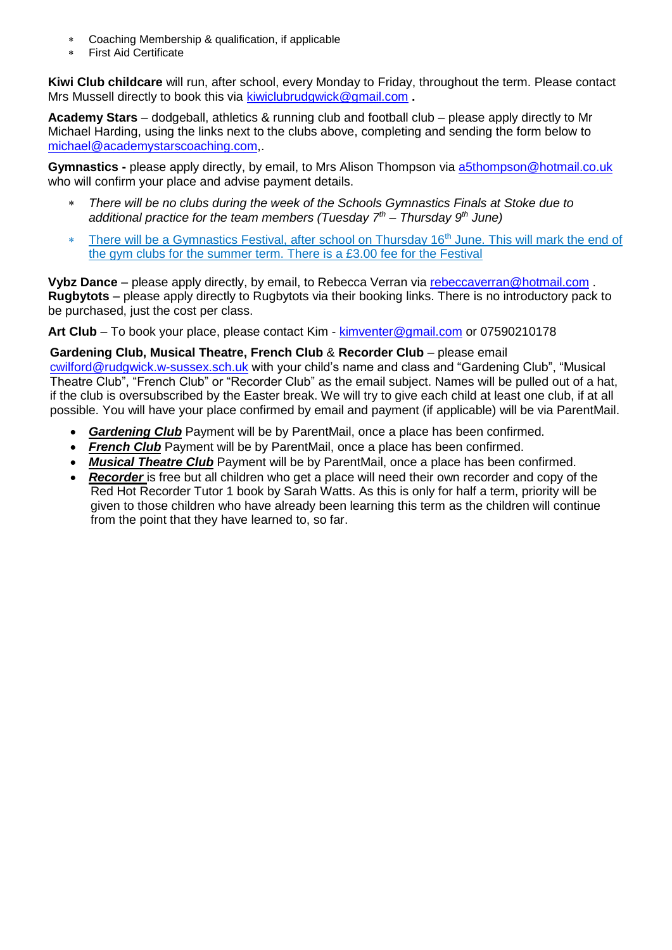- Coaching Membership & qualification, if applicable
- First Aid Certificate

**Kiwi Club childcare** will run, after school, every Monday to Friday, throughout the term. Please contact Mrs Mussell directly to book this via [kiwiclubrudgwick@gmail.com](mailto:kiwiclubrudgwick@gmail.com) **.**

**Academy Stars** – dodgeball, athletics & running club and football club – please apply directly to Mr Michael Harding, using the links next to the clubs above, completing and sending the form below to [michael@academystarscoaching.com,](mailto:michael@academystarscoaching.com).

**Gymnastics -** please apply directly, by email, to Mrs Alison Thompson via [a5thompson@hotmail.co.uk](mailto:a5thompson@hotmail.co.uk) who will confirm your place and advise payment details.

- *There will be no clubs during the week of the Schools Gymnastics Finals at Stoke due to additional practice for the team members (Tuesday 7th – Thursday 9th June)*
- **There will be a Gymnastics Festival, after school on Thursday 16<sup>th</sup> June. This will mark the end of** the gym clubs for the summer term. There is a £3.00 fee for the Festival

**Vybz Dance** – please apply directly, by email, to Rebecca Verran via [rebeccaverran@hotmail.com](mailto:rebeccaverran@hotmail.com) . **Rugbytots** – please apply directly to Rugbytots via their booking links. There is no introductory pack to be purchased, just the cost per class.

**Art Club** – To book your place, please contact Kim - [kimventer@gmail.com](mailto:kimventer@gmail.com) or 07590210178

#### **Gardening Club, Musical Theatre, French Club** & **Recorder Club** – please email

[cwilford@rudgwick.w-sussex.sch.uk](mailto:cwilford@rudgwick.w-sussex.sch.uk) with your child's name and class and "Gardening Club", "Musical Theatre Club", "French Club" or "Recorder Club" as the email subject. Names will be pulled out of a hat, if the club is oversubscribed by the Easter break. We will try to give each child at least one club, if at all possible. You will have your place confirmed by email and payment (if applicable) will be via ParentMail.

- *Gardening Club* Payment will be by ParentMail, once a place has been confirmed.
- *French Club* Payment will be by ParentMail, once a place has been confirmed.
- *Musical Theatre Club* Payment will be by ParentMail, once a place has been confirmed.
- *Recorder* is free but all children who get a place will need their own recorder and copy of the Red Hot Recorder Tutor 1 book by Sarah Watts. As this is only for half a term, priority will be given to those children who have already been learning this term as the children will continue from the point that they have learned to, so far.